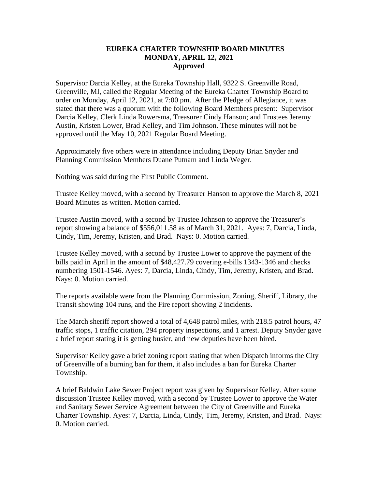## **EUREKA CHARTER TOWNSHIP BOARD MINUTES MONDAY, APRIL 12, 2021 Approved**

Supervisor Darcia Kelley, at the Eureka Township Hall, 9322 S. Greenville Road, Greenville, MI, called the Regular Meeting of the Eureka Charter Township Board to order on Monday, April 12, 2021, at 7:00 pm. After the Pledge of Allegiance, it was stated that there was a quorum with the following Board Members present: Supervisor Darcia Kelley, Clerk Linda Ruwersma, Treasurer Cindy Hanson; and Trustees Jeremy Austin, Kristen Lower, Brad Kelley, and Tim Johnson. These minutes will not be approved until the May 10, 2021 Regular Board Meeting.

Approximately five others were in attendance including Deputy Brian Snyder and Planning Commission Members Duane Putnam and Linda Weger.

Nothing was said during the First Public Comment.

Trustee Kelley moved, with a second by Treasurer Hanson to approve the March 8, 2021 Board Minutes as written. Motion carried.

Trustee Austin moved, with a second by Trustee Johnson to approve the Treasurer's report showing a balance of \$556,011.58 as of March 31, 2021. Ayes: 7, Darcia, Linda, Cindy, Tim, Jeremy, Kristen, and Brad. Nays: 0. Motion carried.

Trustee Kelley moved, with a second by Trustee Lower to approve the payment of the bills paid in April in the amount of \$48,427.79 covering e-bills 1343-1346 and checks numbering 1501-1546. Ayes: 7, Darcia, Linda, Cindy, Tim, Jeremy, Kristen, and Brad. Nays: 0. Motion carried.

The reports available were from the Planning Commission, Zoning, Sheriff, Library, the Transit showing 104 runs, and the Fire report showing 2 incidents.

The March sheriff report showed a total of 4,648 patrol miles, with 218.5 patrol hours, 47 traffic stops, 1 traffic citation, 294 property inspections, and 1 arrest. Deputy Snyder gave a brief report stating it is getting busier, and new deputies have been hired.

Supervisor Kelley gave a brief zoning report stating that when Dispatch informs the City of Greenville of a burning ban for them, it also includes a ban for Eureka Charter Township.

A brief Baldwin Lake Sewer Project report was given by Supervisor Kelley. After some discussion Trustee Kelley moved, with a second by Trustee Lower to approve the Water and Sanitary Sewer Service Agreement between the City of Greenville and Eureka Charter Township. Ayes: 7, Darcia, Linda, Cindy, Tim, Jeremy, Kristen, and Brad. Nays: 0. Motion carried.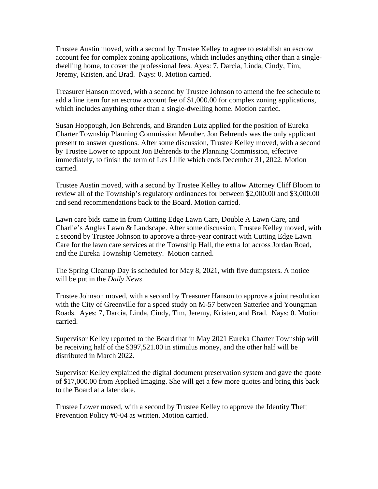Trustee Austin moved, with a second by Trustee Kelley to agree to establish an escrow account fee for complex zoning applications, which includes anything other than a singledwelling home, to cover the professional fees. Ayes: 7, Darcia, Linda, Cindy, Tim, Jeremy, Kristen, and Brad. Nays: 0. Motion carried.

Treasurer Hanson moved, with a second by Trustee Johnson to amend the fee schedule to add a line item for an escrow account fee of \$1,000.00 for complex zoning applications, which includes anything other than a single-dwelling home. Motion carried.

Susan Hoppough, Jon Behrends, and Branden Lutz applied for the position of Eureka Charter Township Planning Commission Member. Jon Behrends was the only applicant present to answer questions. After some discussion, Trustee Kelley moved, with a second by Trustee Lower to appoint Jon Behrends to the Planning Commission, effective immediately, to finish the term of Les Lillie which ends December 31, 2022. Motion carried.

Trustee Austin moved, with a second by Trustee Kelley to allow Attorney Cliff Bloom to review all of the Township's regulatory ordinances for between \$2,000.00 and \$3,000.00 and send recommendations back to the Board. Motion carried.

Lawn care bids came in from Cutting Edge Lawn Care, Double A Lawn Care, and Charlie's Angles Lawn & Landscape. After some discussion, Trustee Kelley moved, with a second by Trustee Johnson to approve a three-year contract with Cutting Edge Lawn Care for the lawn care services at the Township Hall, the extra lot across Jordan Road, and the Eureka Township Cemetery. Motion carried.

The Spring Cleanup Day is scheduled for May 8, 2021, with five dumpsters. A notice will be put in the *Daily News*.

Trustee Johnson moved, with a second by Treasurer Hanson to approve a joint resolution with the City of Greenville for a speed study on M-57 between Satterlee and Youngman Roads. Ayes: 7, Darcia, Linda, Cindy, Tim, Jeremy, Kristen, and Brad. Nays: 0. Motion carried.

Supervisor Kelley reported to the Board that in May 2021 Eureka Charter Township will be receiving half of the \$397,521.00 in stimulus money, and the other half will be distributed in March 2022.

Supervisor Kelley explained the digital document preservation system and gave the quote of \$17,000.00 from Applied Imaging. She will get a few more quotes and bring this back to the Board at a later date.

Trustee Lower moved, with a second by Trustee Kelley to approve the Identity Theft Prevention Policy #0-04 as written. Motion carried.